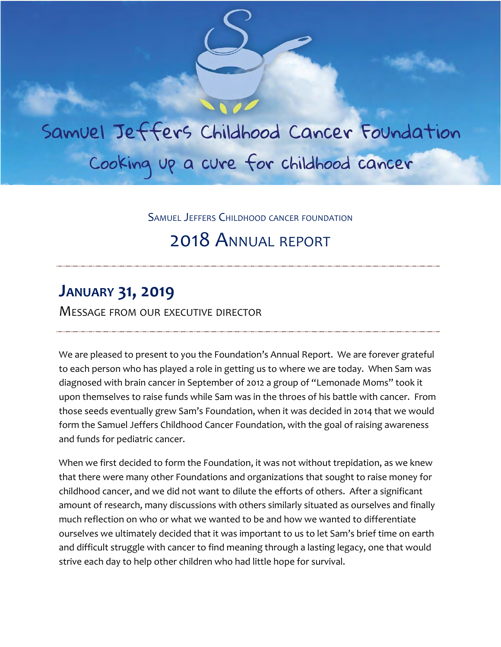Samuel Jeffers Childhood Cancer Foundation Cooking up a cure for childhood cancer

SAMUEL JEFFERS CHILDHOOD CANCER FOUNDATION

# 2018 ANNUAL REPORT

## **JANUARY 31, 2019**

MESSAGE FROM OUR EXECUTIVE DIRECTOR

We are pleased to present to you the Foundation's Annual Report. We are forever grateful to each person who has played a role in getting us to where we are today. When Sam was diagnosed with brain cancer in September of 2012 a group of "Lemonade Moms" took it upon themselves to raise funds while Sam was in the throes of his battle with cancer. From those seeds eventually grew Sam's Foundation, when it was decided in 2014 that we would form the Samuel Jeffers Childhood Cancer Foundation, with the goal of raising awareness and funds for pediatric cancer.

When we first decided to form the Foundation, it was not without trepidation, as we knew that there were many other Foundations and organizations that sought to raise money for childhood cancer, and we did not want to dilute the efforts of others. After a significant amount of research, many discussions with others similarly situated as ourselves and finally much reflection on who or what we wanted to be and how we wanted to differentiate ourselves we ultimately decided that it was important to us to let Sam's brief time on earth and difficult struggle with cancer to find meaning through a lasting legacy, one that would strive each day to help other children who had little hope for survival.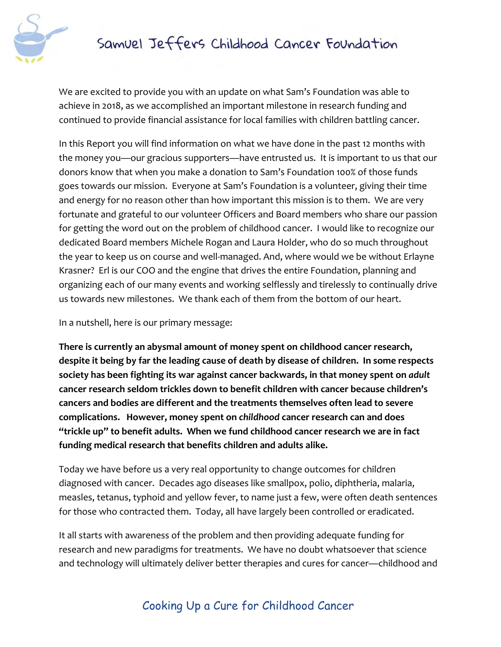

We are excited to provide you with an update on what Sam's Foundation was able to achieve in 2018, as we accomplished an important milestone in research funding and continued to provide financial assistance for local families with children battling cancer.

In this Report you will find information on what we have done in the past 12 months with the money you—our gracious supporters—have entrusted us. It is important to us that our donors know that when you make a donation to Sam's Foundation 100% of those funds goes towards our mission. Everyone at Sam's Foundation is a volunteer, giving their time and energy for no reason other than how important this mission is to them. We are very fortunate and grateful to our volunteer Officers and Board members who share our passion for getting the word out on the problem of childhood cancer. I would like to recognize our dedicated Board members Michele Rogan and Laura Holder, who do so much throughout the year to keep us on course and well-managed. And, where would we be without Erlayne Krasner? Erl is our COO and the engine that drives the entire Foundation, planning and organizing each of our many events and working selflessly and tirelessly to continually drive us towards new milestones. We thank each of them from the bottom of our heart.

In a nutshell, here is our primary message:

**There is currently an abysmal amount of money spent on childhood cancer research, despite it being by far the leading cause of death by disease of children. In some respects society has been fighting its war against cancer backwards, in that money spent on** *adult* **cancer research seldom trickles down to benefit children with cancer because children's cancers and bodies are different and the treatments themselves often lead to severe complications. However, money spent on** *childhood* **cancer research can and does "trickle up" to benefit adults. When we fund childhood cancer research we are in fact funding medical research that benefits children and adults alike.**

Today we have before us a very real opportunity to change outcomes for children diagnosed with cancer. Decades ago diseases like smallpox, polio, diphtheria, malaria, measles, tetanus, typhoid and yellow fever, to name just a few, were often death sentences for those who contracted them. Today, all have largely been controlled or eradicated.

It all starts with awareness of the problem and then providing adequate funding for research and new paradigms for treatments. We have no doubt whatsoever that science and technology will ultimately deliver better therapies and cures for cancer—childhood and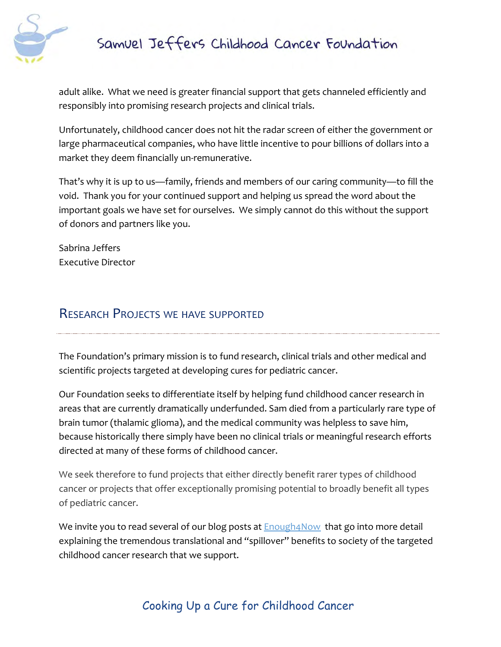

adult alike. What we need is greater financial support that gets channeled efficiently and responsibly into promising research projects and clinical trials.

Unfortunately, childhood cancer does not hit the radar screen of either the government or large pharmaceutical companies, who have little incentive to pour billions of dollars into a market they deem financially un-remunerative.

That's why it is up to us—family, friends and members of our caring community—to fill the void. Thank you for your continued support and helping us spread the word about the important goals we have set for ourselves. We simply cannot do this without the support of donors and partners like you.

Sabrina Jeffers Executive Director

## RESEARCH PROJECTS WE HAVE SUPPORTED

The Foundation's primary mission is to fund research, clinical trials and other medical and scientific projects targeted at developing cures for pediatric cancer.

Our Foundation seeks to differentiate itself by helping fund childhood cancer research in areas that are currently dramatically underfunded. Sam died from a particularly rare type of brain tumor (thalamic glioma), and the medical community was helpless to save him, because historically there simply have been no clinical trials or meaningful research efforts directed at many of these forms of childhood cancer.

We seek therefore to fund projects that either directly benefit rarer types of childhood cancer or projects that offer exceptionally promising potential to broadly benefit all types of pediatric cancer.

We invi[t](http://enough4now.blogspot.com/)e you to read several of our blog posts at **Enough4Now** that go into more detail explaining the tremendous translational and "spillover" benefits to society of the targeted childhood cancer research that we support.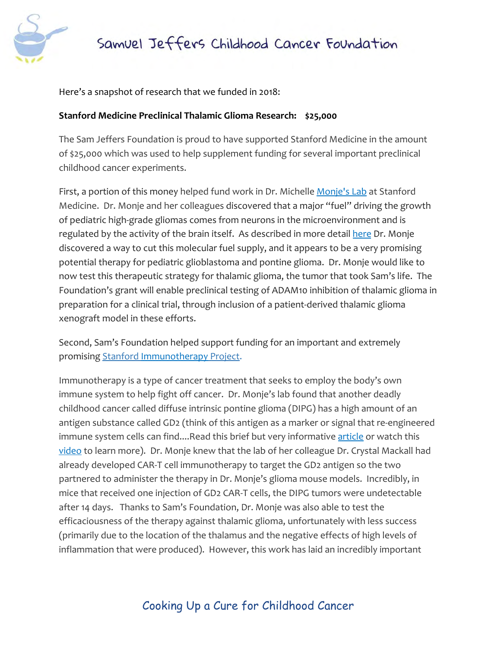



Here's a snapshot of research that we funded in 2018:

#### **Stanford Medicine Preclinical Thalamic Glioma Research: \$25,000**

The Sam Jeffers Foundation is proud to have supported Stanford Medicine in the amount of \$25,000 which was used to help supplement funding for several important preclinical childhood cancer experiments.

First, a portion of this money helped fund work in Dr. Michelle [Monje's Lab](https://med.stanford.edu/monje-lab.html) at Stanford Medicine. Dr. Monje and her colleagues discovered that a major "fuel" driving the growth of pediatric high-grade gliomas comes from neurons in the microenvironment and is regu[l](https://www.nih.gov/news-events/news-releases/researchers-hit-brakes-lethal-brain-cancers-mice)ated by the activity of the brain itself. As described in more detail [here](https://www.nih.gov/news-events/news-releases/researchers-hit-brakes-lethal-brain-cancers-mice) Dr. Monje discovered a way to cut this molecular fuel supply, and it appears to be a very promising potential therapy for pediatric glioblastoma and pontine glioma. Dr. Monje would like to now test this therapeutic strategy for thalamic glioma, the tumor that took Sam's life. The Foundation's grant will enable preclinical testing of ADAM10 inhibition of thalamic glioma in preparation for a clinical trial, through inclusion of a patient-derived thalamic glioma xenograft model in these efforts.

Second, Sam's Foundation helped support funding for an important and extremely promising [Stanford Immunotherapy Project.](http://med.stanford.edu/news/all-news/2018/04/altered-immune-cells-clear-childhood-brain-tumor-in-mice.html?linkId=50518234)

Immunotherapy is a type of cancer treatment that seeks to employ the body's own immune system to help fight off cancer. Dr. Monje's lab found that another deadly childhood cancer called diffuse intrinsic pontine glioma (DIPG) has a high amount of an antigen substance called GD2 (think of this antigen as a marker or signal that re-engineered immun[e](https://www.verywellhealth.com/t-cells-2252171) system cells can find....Read this brief but very informative [article](https://www.verywellhealth.com/t-cells-2252171) or watch this [video](https://www.youtube.com/watch?v=OadAW99s4Ik) to learn more). Dr. Monje knew that the lab of her colleague Dr. Crystal Mackall had already developed CAR-T cell immunotherapy to target the GD2 antigen so the two partnered to administer the therapy in Dr. Monje's glioma mouse models. Incredibly, in mice that received one injection of GD2 CAR-T cells, the DIPG tumors were undetectable after 14 days. Thanks to Sam's Foundation, Dr. Monje was also able to test the efficaciousness of the therapy against thalamic glioma, unfortunately with less success (primarily due to the location of the thalamus and the negative effects of high levels of inflammation that were produced). However, this work has laid an incredibly important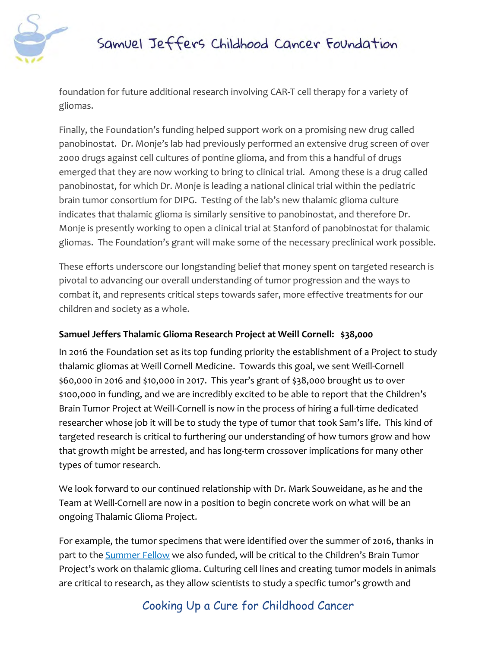

foundation for future additional research involving CAR-T cell therapy for a variety of gliomas.

Finally, the Foundation's funding helped support work on a promising new drug called panobinostat. Dr. Monje's lab had previously performed an extensive drug screen of over 2000 drugs against cell cultures of pontine glioma, and from this a handful of drugs emerged that they are now working to bring to clinical trial. Among these is a drug called panobinostat, for which Dr. Monje is leading a national clinical trial within the pediatric brain tumor consortium for DIPG. Testing of the lab's new thalamic glioma culture indicates that thalamic glioma is similarly sensitive to panobinostat, and therefore Dr. Monje is presently working to open a clinical trial at Stanford of panobinostat for thalamic gliomas. The Foundation's grant will make some of the necessary preclinical work possible.

These efforts underscore our longstanding belief that money spent on targeted research is pivotal to advancing our overall understanding of tumor progression and the ways to combat it, and represents critical steps towards safer, more effective treatments for our children and society as a whole.

#### **Samuel Jeffers Thalamic Glioma Research Project at Weill Cornell: \$38,000**

In 2016 the Foundation set as its top funding priority the establishment of a Project to study thalamic gliomas at Weill Cornell Medicine. Towards this goal, we sent Weill-Cornell \$60,000 in 2016 and \$10,000 in 2017. This year's grant of \$38,000 brought us to over \$100,000 in funding, and we are incredibly excited to be able to report that the Children's Brain Tumor Project at Weill-Cornell is now in the process of hiring a full-time dedicated researcher whose job it will be to study the type of tumor that took Sam's life. This kind of targeted research is critical to furthering our understanding of how tumors grow and how that growth might be arrested, and has long-term crossover implications for many other types of tumor research.

We look forward to our continued relationship with Dr. Mark Souweidane, as he and the Team at Weill-Cornell are now in a position to begin concrete work on what will be an ongoing Thalamic Glioma Project.

For example, the tumor specimens that were identified over the summer of 2016, thanks in part to th[e](http://weillcornellbrainandspine.org/in-the-news/samuel-jeffers-foundation-funds-summer-medical-student-fellow-thalamic-gliomas) **[Summer Fellow](http://weillcornellbrainandspine.org/in-the-news/samuel-jeffers-foundation-funds-summer-medical-student-fellow-thalamic-gliomas)** we also funded, will be critical to the Children's Brain Tumor Project's work on thalamic glioma. Culturing cell lines and creating tumor models in animals are critical to research, as they allow scientists to study a specific tumor's growth and

### Cooking Up a Cure for Childhood Cancer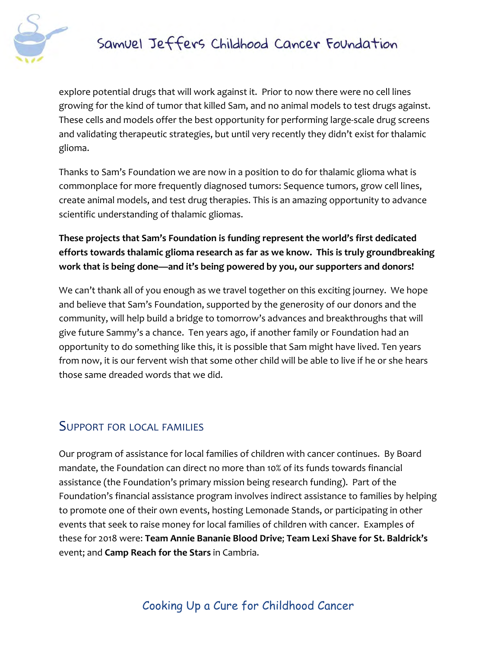

explore potential drugs that will work against it. Prior to now there were no cell lines growing for the kind of tumor that killed Sam, and no animal models to test drugs against. These cells and models offer the best opportunity for performing large-scale drug screens and validating therapeutic strategies, but until very recently they didn't exist for thalamic glioma.

Thanks to Sam's Foundation we are now in a position to do for thalamic glioma what is commonplace for more frequently diagnosed tumors: Sequence tumors, grow cell lines, create animal models, and test drug therapies. This is an amazing opportunity to advance scientific understanding of thalamic gliomas.

### **These projects that Sam's Foundation is funding represent the world's first dedicated efforts towards thalamic glioma research as far as we know. This is truly groundbreaking work that is being done—and it's being powered by you, our supporters and donors!**

We can't thank all of you enough as we travel together on this exciting journey. We hope and believe that Sam's Foundation, supported by the generosity of our donors and the community, will help build a bridge to tomorrow's advances and breakthroughs that will give future Sammy's a chance. Ten years ago, if another family or Foundation had an opportunity to do something like this, it is possible that Sam might have lived. Ten years from now, it is our fervent wish that some other child will be able to live if he or she hears those same dreaded words that we did.

## SUPPORT FOR LOCAL FAMILIES

Our program of assistance for local families of children with cancer continues. By Board mandate, the Foundation can direct no more than 10% of its funds towards financial assistance (the Foundation's primary mission being research funding). Part of the Foundation's financial assistance program involves indirect assistance to families by helping to promote one of their own events, hosting Lemonade Stands, or participating in other events that seek to raise money for local families of children with cancer. Examples of these for 2018 were: **Team Annie Bananie Blood Drive**; **Team Lexi Shave for St. Baldrick's** event; and **Camp Reach for the Stars** in Cambria.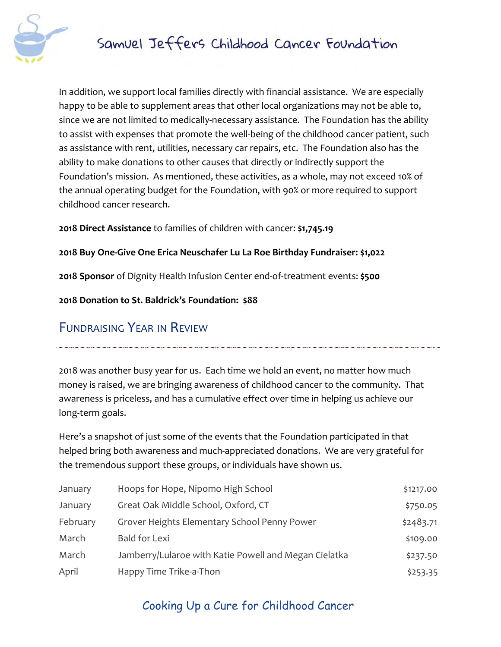

In addition, we support local families directly with financial assistance. We are especially happy to be able to supplement areas that other local organizations may not be able to, since we are not limited to medically-necessary assistance. The Foundation has the ability to assist with expenses that promote the well-being of the childhood cancer patient, such as assistance with rent, utilities, necessary car repairs, etc. The Foundation also has the ability to make donations to other causes that directly or indirectly support the Foundation's mission. As mentioned, these activities, as a whole, may not exceed 10% of the annual operating budget for the Foundation, with 90% or more required to support childhood cancer research.

**2018 Direct Assistance** to families of children with cancer: **\$1,745.19**

#### **2018 Buy One-Give One Erica Neuschafer Lu La Roe Birthday Fundraiser: \$1,022**

**2018 Sponsor** of Dignity Health Infusion Center end-of-treatment events: **\$500**

**2018 Donation to St. Baldrick's Foundation: \$88**

### FUNDRAISING YEAR IN REVIEW

2018 was another busy year for us. Each time we hold an event, no matter how much money is raised, we are bringing awareness of childhood cancer to the community. That awareness is priceless, and has a cumulative effect over time in helping us achieve our long-term goals.

Here's a snapshot of just some of the events that the Foundation participated in that helped bring both awareness and much-appreciated donations. We are very grateful for the tremendous support these groups, or individuals have shown us.

| January  | Hoops for Hope, Nipomo High School                    | \$1217.00 |
|----------|-------------------------------------------------------|-----------|
| January  | Great Oak Middle School, Oxford, CT                   | \$750.05  |
| February | Grover Heights Elementary School Penny Power          | \$2483.71 |
| March    | <b>Bald for Lexi</b>                                  | \$109.00  |
| March    | Jamberry/Lularoe with Katie Powell and Megan Cielatka | \$237.50  |
| April    | Happy Time Trike-a-Thon                               | \$253.35  |

## Cooking Up a Cure for Childhood Cancer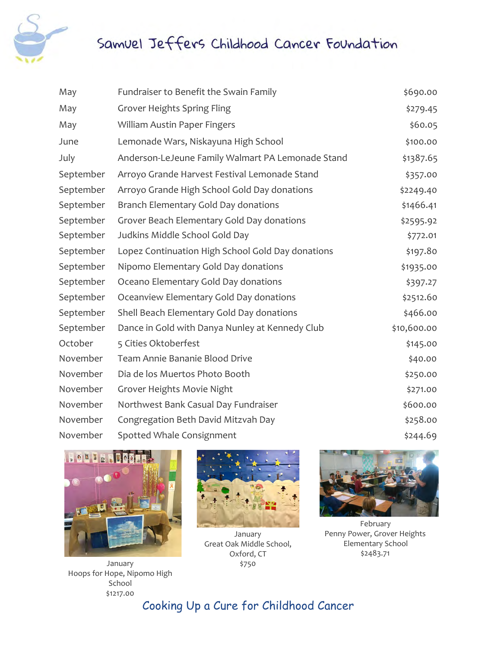

| May       | Fundraiser to Benefit the Swain Family            | \$690.00    |
|-----------|---------------------------------------------------|-------------|
| May       | <b>Grover Heights Spring Fling</b>                | \$279.45    |
| May       | William Austin Paper Fingers                      | \$60.05     |
| June      | Lemonade Wars, Niskayuna High School              | \$100.00    |
| July      | Anderson-LeJeune Family Walmart PA Lemonade Stand | \$1387.65   |
| September | Arroyo Grande Harvest Festival Lemonade Stand     | \$357.00    |
| September | Arroyo Grande High School Gold Day donations      | \$2249.40   |
| September | Branch Elementary Gold Day donations              | \$1466.41   |
| September | Grover Beach Elementary Gold Day donations        | \$2595.92   |
| September | Judkins Middle School Gold Day                    | \$772.01    |
| September | Lopez Continuation High School Gold Day donations | \$197.80    |
| September | Nipomo Elementary Gold Day donations              | \$1935.00   |
| September | Oceano Elementary Gold Day donations              | \$397.27    |
| September | Oceanview Elementary Gold Day donations           | \$2512.60   |
| September | Shell Beach Elementary Gold Day donations         | \$466.00    |
| September | Dance in Gold with Danya Nunley at Kennedy Club   | \$10,600.00 |
| October   | 5 Cities Oktoberfest                              | \$145.00    |
| November  | Team Annie Bananie Blood Drive                    | \$40.00     |
| November  | Dia de los Muertos Photo Booth                    | \$250.00    |
| November  | Grover Heights Movie Night                        | \$271.00    |
| November  | Northwest Bank Casual Day Fundraiser              | \$600.00    |
| November  | Congregation Beth David Mitzvah Day               | \$258.00    |
| November  | Spotted Whale Consignment                         | \$244.69    |



January Hoops for Hope, Nipomo High School \$1217.00



January Great Oak Middle School, Oxford, CT \$750



February Penny Power, Grover Heights Elementary School \$2483.71

Cooking Up a Cure for Childhood Cancer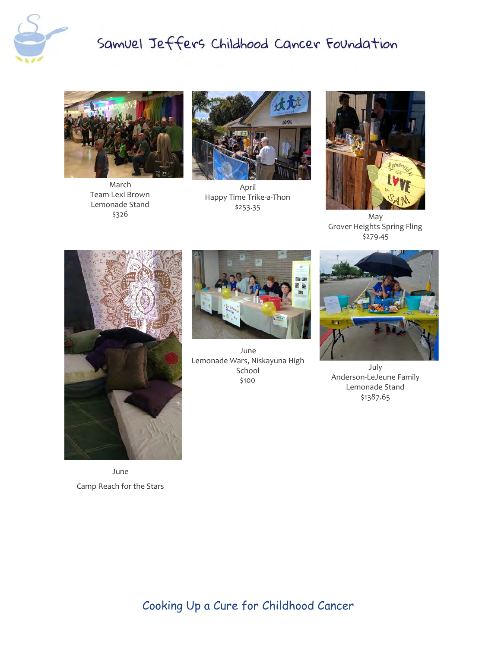



March Team Lexi Brown Lemonade Stand \$326



April Happy Time Trike-a-Thon \$253.35



May Grover Heights Spring Fling \$279.45



June Camp Reach for the Stars



June Lemonade Wars, Niskayuna High School \$100



July Anderson-LeJeune Family Lemonade Stand \$1387.65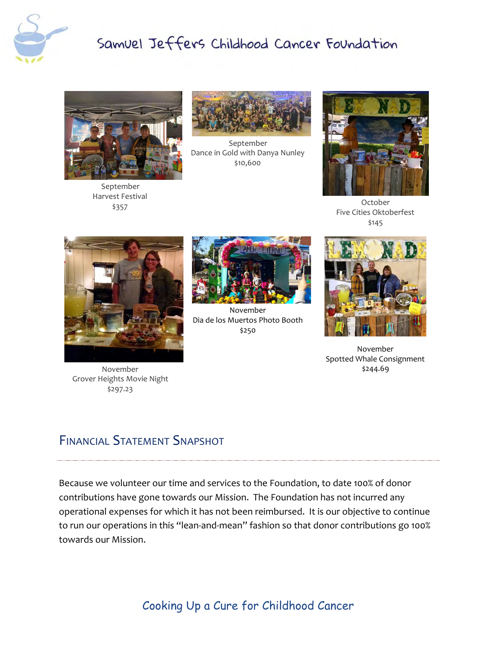



September Harvest Festival \$357



September Dance in Gold with Danya Nunley \$10,600



October Five Cities Oktoberfest \$145



November Grover Heights Movie Night \$297.23



November Dia de los Muertos Photo Booth \$250



November Spotted Whale Consignment \$244.69

## FINANCIAL STATEMENT SNAPSHOT

Because we volunteer our time and services to the Foundation, to date 100% of donor contributions have gone towards our Mission. The Foundation has not incurred any operational expenses for which it has not been reimbursed. It is our objective to continue to run our operations in this "lean-and-mean" fashion so that donor contributions go 100% towards our Mission.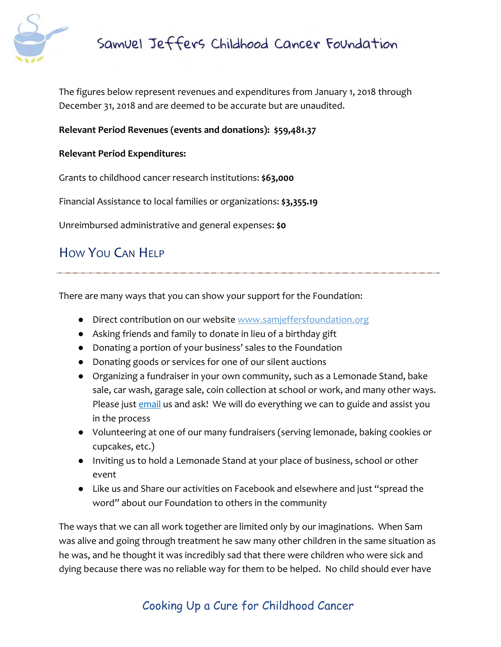

The figures below represent revenues and expenditures from January 1, 2018 through December 31, 2018 and are deemed to be accurate but are unaudited.

#### **Relevant Period Revenues (events and donations): \$59,481.37**

#### **Relevant Period Expenditures:**

Grants to childhood cancer research institutions: **\$63,000**

Financial Assistance to local families or organizations: **\$3,355.19**

Unreimbursed administrative and general expenses: **\$0**

## HOW YOU CAN HELP

There are many ways that you can show your support for the Foundation:

- Direct contribution on our website [www.samjeffersfoundation.org](http://www.samjeffersfoundation.org/)
- Asking friends and family to donate in lieu of a birthday gift
- Donating a portion of your business' sales to the Foundation
- Donating goods or services for one of our silent auctions
- Organizing a fundraiser in your own community, such as a Lemonade Stand, bake sale, car wash, garage sale, coin collection at school or work, and many other ways. Please just [email](mailto:info@samjeffersfoundation.org) us and ask! We will do everything we can to guide and assist you in the process
- Volunteering at one of our many fundraisers (serving lemonade, baking cookies or cupcakes, etc.)
- Inviting us to hold a Lemonade Stand at your place of business, school or other event
- Like us and Share our activities on Facebook and elsewhere and just "spread the word" about our Foundation to others in the community

The ways that we can all work together are limited only by our imaginations. When Sam was alive and going through treatment he saw many other children in the same situation as he was, and he thought it was incredibly sad that there were children who were sick and dying because there was no reliable way for them to be helped. No child should ever have